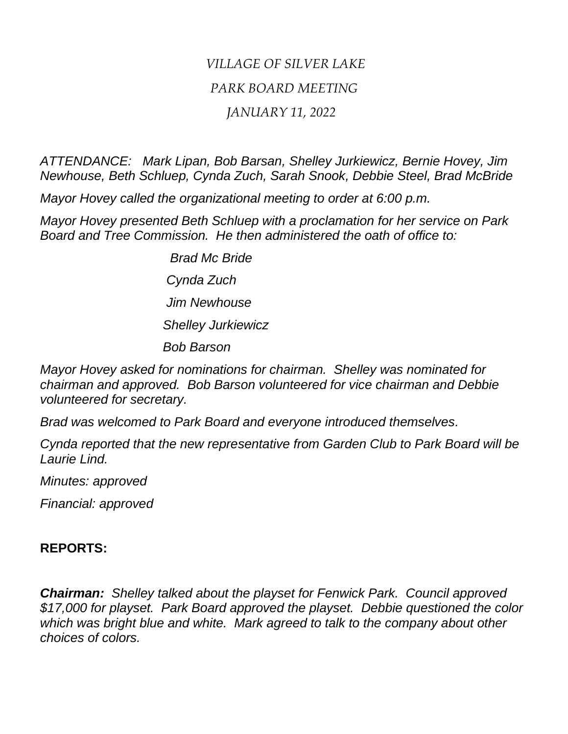## *VILLAGE OF SILVER LAKE PARK BOARD MEETING JANUARY 11, 2022*

*ATTENDANCE: Mark Lipan, Bob Barsan, Shelley Jurkiewicz, Bernie Hovey, Jim Newhouse, Beth Schluep, Cynda Zuch, Sarah Snook, Debbie Steel, Brad McBride*

*Mayor Hovey called the organizational meeting to order at 6:00 p.m.*

*Mayor Hovey presented Beth Schluep with a proclamation for her service on Park Board and Tree Commission. He then administered the oath of office to:*

> *Brad Mc Bride Cynda Zuch Jim Newhouse Shelley Jurkiewicz Bob Barson*

*Mayor Hovey asked for nominations for chairman. Shelley was nominated for chairman and approved. Bob Barson volunteered for vice chairman and Debbie volunteered for secretary.*

*Brad was welcomed to Park Board and everyone introduced themselves.*

*Cynda reported that the new representative from Garden Club to Park Board will be Laurie Lind.*

*Minutes: approved*

*Financial: approved*

## **REPORTS:**

*Chairman: Shelley talked about the playset for Fenwick Park. Council approved \$17,000 for playset. Park Board approved the playset. Debbie questioned the color which was bright blue and white. Mark agreed to talk to the company about other choices of colors.*